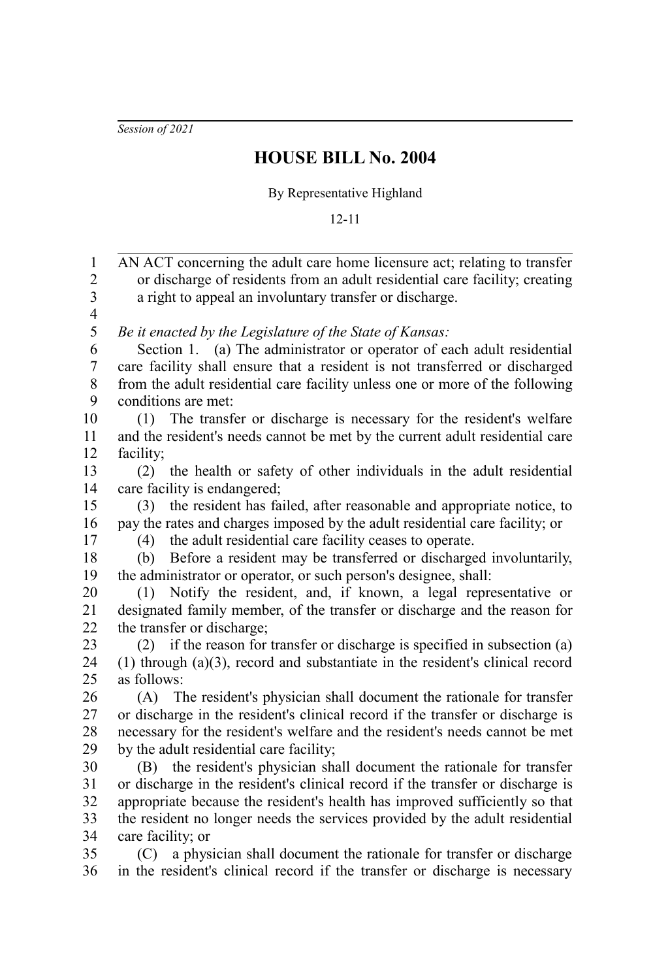*Session of 2021*

## **HOUSE BILL No. 2004**

By Representative Highland

12-11

AN ACT concerning the adult care home licensure act; relating to transfer or discharge of residents from an adult residential care facility; creating a right to appeal an involuntary transfer or discharge. *Be it enacted by the Legislature of the State of Kansas:* Section 1. (a) The administrator or operator of each adult residential care facility shall ensure that a resident is not transferred or discharged from the adult residential care facility unless one or more of the following conditions are met: (1) The transfer or discharge is necessary for the resident's welfare and the resident's needs cannot be met by the current adult residential care facility; (2) the health or safety of other individuals in the adult residential care facility is endangered; (3) the resident has failed, after reasonable and appropriate notice, to pay the rates and charges imposed by the adult residential care facility; or (4) the adult residential care facility ceases to operate. (b) Before a resident may be transferred or discharged involuntarily, the administrator or operator, or such person's designee, shall: (1) Notify the resident, and, if known, a legal representative or designated family member, of the transfer or discharge and the reason for the transfer or discharge; (2) if the reason for transfer or discharge is specified in subsection (a) (1) through (a)(3), record and substantiate in the resident's clinical record as follows: (A) The resident's physician shall document the rationale for transfer or discharge in the resident's clinical record if the transfer or discharge is necessary for the resident's welfare and the resident's needs cannot be met by the adult residential care facility; (B) the resident's physician shall document the rationale for transfer or discharge in the resident's clinical record if the transfer or discharge is appropriate because the resident's health has improved sufficiently so that the resident no longer needs the services provided by the adult residential care facility; or (C) a physician shall document the rationale for transfer or discharge in the resident's clinical record if the transfer or discharge is necessary 1 2 3 4 5 6 7 8 9 10 11 12 13 14 15 16 17 18 19 20 21 22 23  $24$ 25 26 27 28 29 30 31 32 33 34 35 36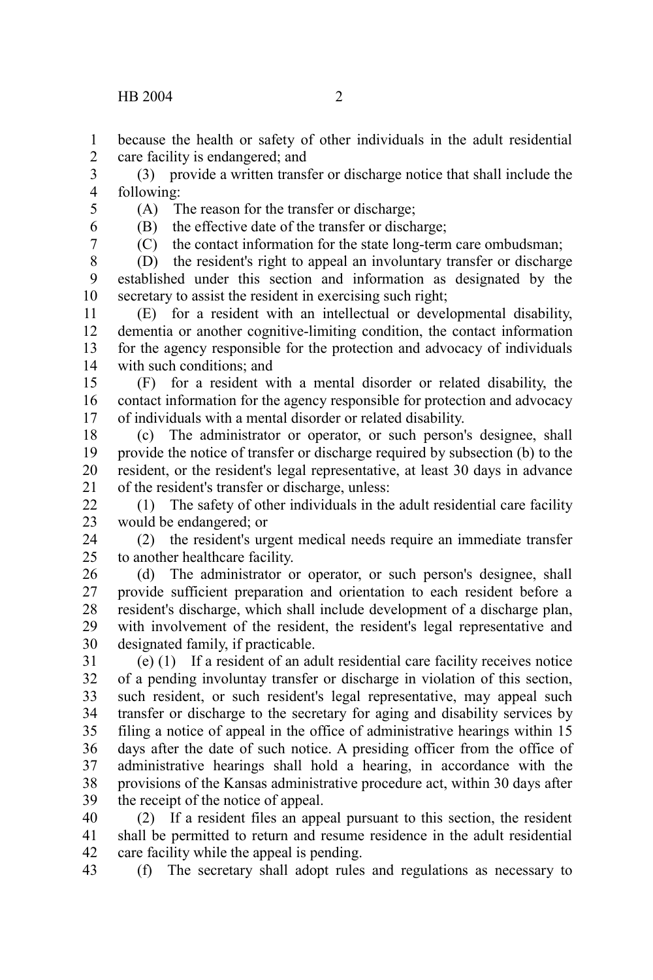because the health or safety of other individuals in the adult residential care facility is endangered; and 1 2

(3) provide a written transfer or discharge notice that shall include the following: 3 4

(A) The reason for the transfer or discharge;

(B) the effective date of the transfer or discharge;

6 7

5

(C) the contact information for the state long-term care ombudsman;

(D) the resident's right to appeal an involuntary transfer or discharge established under this section and information as designated by the secretary to assist the resident in exercising such right; 8 9 10

(E) for a resident with an intellectual or developmental disability, dementia or another cognitive-limiting condition, the contact information for the agency responsible for the protection and advocacy of individuals with such conditions; and 11 12 13 14

(F) for a resident with a mental disorder or related disability, the contact information for the agency responsible for protection and advocacy of individuals with a mental disorder or related disability. 15 16 17

(c) The administrator or operator, or such person's designee, shall provide the notice of transfer or discharge required by subsection (b) to the resident, or the resident's legal representative, at least 30 days in advance of the resident's transfer or discharge, unless: 18 19 20 21

(1) The safety of other individuals in the adult residential care facility would be endangered; or  $22$ 23

(2) the resident's urgent medical needs require an immediate transfer to another healthcare facility. 24 25

(d) The administrator or operator, or such person's designee, shall provide sufficient preparation and orientation to each resident before a resident's discharge, which shall include development of a discharge plan, with involvement of the resident, the resident's legal representative and designated family, if practicable. 26 27 28 29 30

(e) (1) If a resident of an adult residential care facility receives notice of a pending involuntay transfer or discharge in violation of this section, such resident, or such resident's legal representative, may appeal such transfer or discharge to the secretary for aging and disability services by filing a notice of appeal in the office of administrative hearings within 15 days after the date of such notice. A presiding officer from the office of administrative hearings shall hold a hearing, in accordance with the provisions of the Kansas administrative procedure act, within 30 days after the receipt of the notice of appeal. 31 32 33 34 35 36 37 38 39

(2) If a resident files an appeal pursuant to this section, the resident shall be permitted to return and resume residence in the adult residential care facility while the appeal is pending. 40 41 42

(f) The secretary shall adopt rules and regulations as necessary to 43